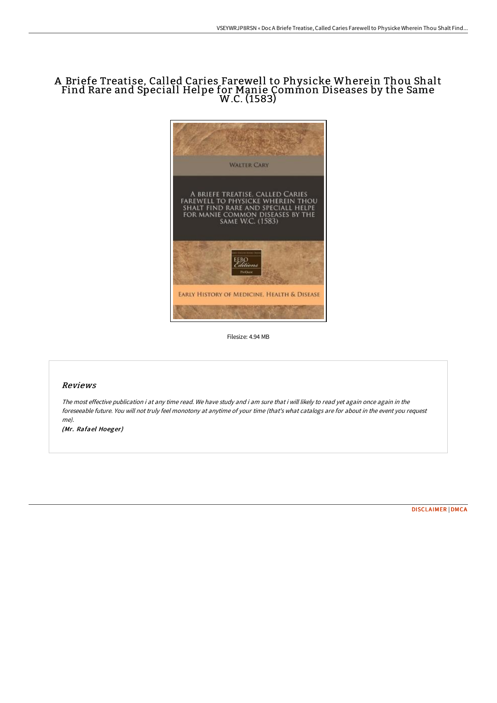## A Briefe Treatise, Called Caries Farewell to Physicke Wherein Thou Shalt Find Rare and Speciall Helpe for Manie Common Diseases by the Same W.C. (1583)



Filesize: 4.94 MB

## Reviews

The most effective publication i at any time read. We have study and i am sure that i will likely to read yet again once again in the foreseeable future. You will not truly feel monotony at anytime of your time (that's what catalogs are for about in the event you request me).

(Mr. Rafael Hoeger)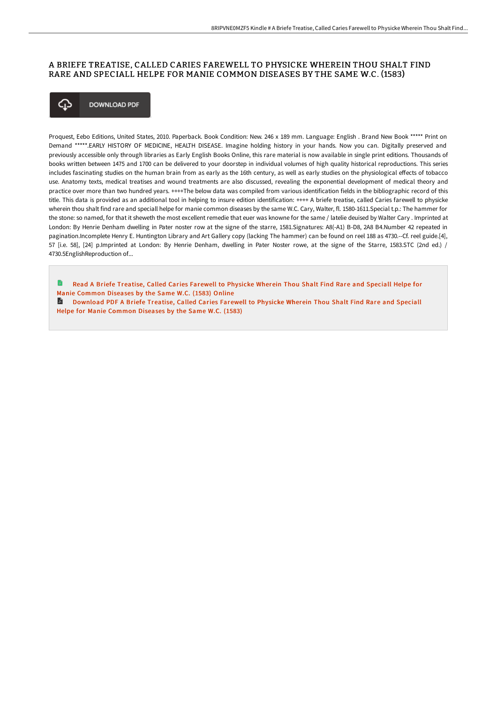## A BRIEFE TREATISE, CALLED CARIES FAREWELL TO PHYSICKE WHEREIN THOU SHALT FIND RARE AND SPECIALL HELPE FOR MANIE COMMON DISEASES BY THE SAME W.C. (1583)



Proquest, Eebo Editions, United States, 2010. Paperback. Book Condition: New. 246 x 189 mm. Language: English . Brand New Book \*\*\*\*\* Print on Demand \*\*\*\*\*.EARLY HISTORY OF MEDICINE, HEALTH DISEASE. Imagine holding history in your hands. Now you can. Digitally preserved and previously accessible only through libraries as Early English Books Online, this rare material is now available in single print editions. Thousands of books written between 1475 and 1700 can be delivered to your doorstep in individual volumes of high quality historical reproductions. This series includes fascinating studies on the human brain from as early as the 16th century, as well as early studies on the physiological effects of tobacco use. Anatomy texts, medical treatises and wound treatments are also discussed, revealing the exponential development of medical theory and practice over more than two hundred years. ++++The below data was compiled from various identification fields in the bibliographic record of this title. This data is provided as an additional tool in helping to insure edition identification: ++++ A briefe treatise, called Caries farewell to physicke wherein thou shalt find rare and speciall helpe for manie common diseases by the same W.C. Cary, Walter, fl. 1580-1611.Special t.p.: The hammer for the stone: so named, for that it sheweth the most excellent remedie that euer was knowne for the same / latelie deuised by Walter Cary . Imprinted at London: By Henrie Denham dwelling in Pater noster row at the signe of the starre, 1581.Signatures: A8(-A1) B-D8, 2A8 B4.Number 42 repeated in pagination.Incomplete Henry E. Huntington Library and Art Gallery copy (lacking The hammer) can be found on reel 188 as 4730.--Cf. reel guide.[4], 57 [i.e. 58], [24] p.Imprinted at London: By Henrie Denham, dwelling in Pater Noster rowe, at the signe of the Starre, 1583.STC (2nd ed.) / 4730.5EnglishReproduction of...

Read A Briefe Treatise, Called Caries Farewell to Physicke Wherein Thou Shalt Find Rare and Speciall Helpe for Manie [Common](http://www.bookdirs.com/a-briefe-treatise-called-caries-farewell-to-phys.html) Diseases by the Same W.C. (1583) Online

[Download](http://www.bookdirs.com/a-briefe-treatise-called-caries-farewell-to-phys.html) PDF A Briefe Treatise, Called Caries Farewell to Physicke Wherein Thou Shalt Find Rare and Speciall Helpe for Manie Common Diseases by the Same W.C. (1583)